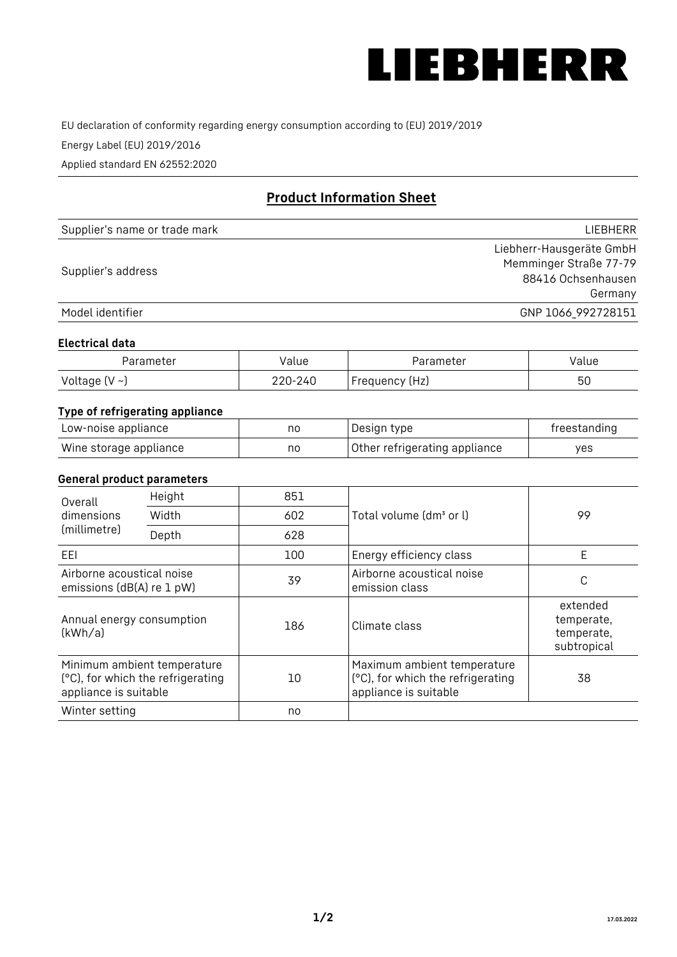

EU declaration of conformity regarding energy consumption according to (EU) 2019/2019

Energy Label (EU) 2019/2016

Applied standard EN 62552:2020

# **Product Information Sheet**

| Supplier's name or trade mark | <b>LIFBHFRR</b>          |
|-------------------------------|--------------------------|
|                               | Liebherr-Hausgeräte GmbH |
| Supplier's address            | Memminger Straße 77-79   |
|                               | 88416 Ochsenhausen       |
|                               | Germany                  |
| Model identifier              | GNP 1066_992728151       |

#### **Electrical data**

| Parameter           | Value   | Parameter      | Value |
|---------------------|---------|----------------|-------|
| Voltage (V $\sim$ ) | 220-240 | Frequency (Hz) | 50    |

## **Type of refrigerating appliance**

| Low-noise appliance    | nc | Design type                   | freestanding |
|------------------------|----|-------------------------------|--------------|
| Wine storage appliance | nc | Other refrigerating appliance | ves          |

## **General product parameters**

| Overall                                                | Height                                                           | 851 |                                                                                           | 99                                                  |
|--------------------------------------------------------|------------------------------------------------------------------|-----|-------------------------------------------------------------------------------------------|-----------------------------------------------------|
| dimensions<br>(millimetre)                             | Width                                                            | 602 | Total volume (dm <sup>3</sup> or l)                                                       |                                                     |
|                                                        | Depth                                                            | 628 |                                                                                           |                                                     |
| EEL                                                    |                                                                  | 100 | Energy efficiency class                                                                   | E                                                   |
| Airborne acoustical noise<br>emissions (dB(A) re 1 pW) |                                                                  | 39  | Airborne acoustical noise<br>emission class                                               | С                                                   |
| Annual energy consumption<br>(kWh/a)                   |                                                                  | 186 | Climate class                                                                             | extended<br>temperate,<br>temperate,<br>subtropical |
| appliance is suitable                                  | Minimum ambient temperature<br>(°C), for which the refrigerating | 10  | Maximum ambient temperature<br>(°C), for which the refrigerating<br>appliance is suitable | 38                                                  |
| Winter setting                                         |                                                                  | no  |                                                                                           |                                                     |